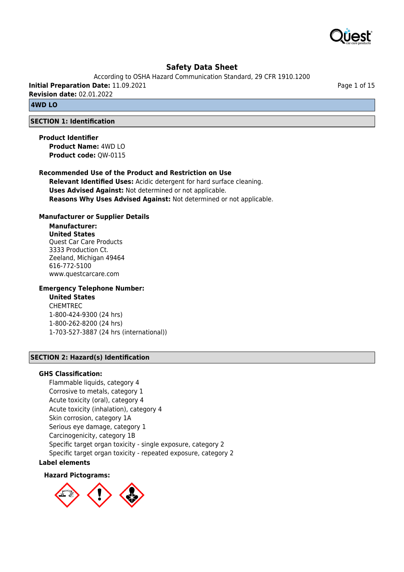

According to OSHA Hazard Communication Standard, 29 CFR 1910.1200

**Initial Preparation Date:** 11.09.2021 **Revision date:** 02.01.2022

# **4WD LO**

## **SECTION 1: Identification**

**Product Identifier Product Name:** 4WD LO **Product code:** QW-0115

#### **Recommended Use of the Product and Restriction on Use**

**Relevant Identified Uses:** Acidic detergent for hard surface cleaning. **Uses Advised Against:** Not determined or not applicable. **Reasons Why Uses Advised Against:** Not determined or not applicable.

#### **Manufacturer or Supplier Details**

#### **Manufacturer: United States** Quest Car Care Products 3333 Production Ct. Zeeland, Michigan 49464

616-772-5100 www.questcarcare.com

## **Emergency Telephone Number:**

# **United States**

CHEMTREC 1-800-424-9300 (24 hrs) 1-800-262-8200 (24 hrs) 1-703-527-3887 (24 hrs (international))

## **SECTION 2: Hazard(s) Identification**

#### **GHS Classification:**

Flammable liquids, category 4 Corrosive to metals, category 1 Acute toxicity (oral), category 4 Acute toxicity (inhalation), category 4 Skin corrosion, category 1A Serious eye damage, category 1 Carcinogenicity, category 1B Specific target organ toxicity - single exposure, category 2 Specific target organ toxicity - repeated exposure, category 2

## **Label elements**

#### **Hazard Pictograms:**



Page 1 of 15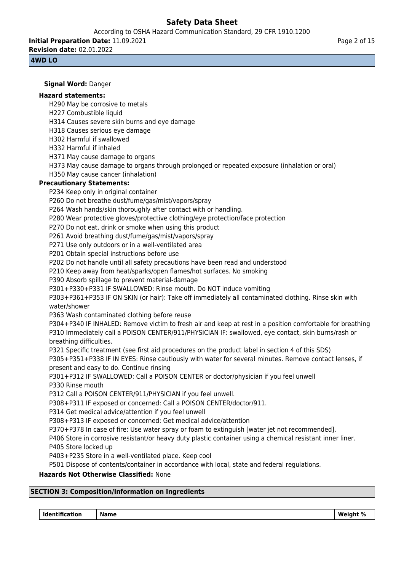According to OSHA Hazard Communication Standard, 29 CFR 1910.1200

**Initial Preparation Date:** 11.09.2021 **Revision date:** 02.01.2022

## **4WD LO**

**Signal Word:** Danger **Hazard statements:** H290 May be corrosive to metals H227 Combustible liquid H314 Causes severe skin burns and eye damage H318 Causes serious eye damage H302 Harmful if swallowed H332 Harmful if inhaled H371 May cause damage to organs H373 May cause damage to organs through prolonged or repeated exposure (inhalation or oral) H350 May cause cancer (inhalation) **Precautionary Statements:** P234 Keep only in original container P260 Do not breathe dust/fume/gas/mist/vapors/spray P264 Wash hands/skin thoroughly after contact with or handling. P280 Wear protective gloves/protective clothing/eye protection/face protection P270 Do not eat, drink or smoke when using this product P261 Avoid breathing dust/fume/gas/mist/vapors/spray P271 Use only outdoors or in a well-ventilated area P201 Obtain special instructions before use P202 Do not handle until all safety precautions have been read and understood P210 Keep away from heat/sparks/open flames/hot surfaces. No smoking P390 Absorb spillage to prevent material-damage P301+P330+P331 IF SWALLOWED: Rinse mouth. Do NOT induce vomiting P303+P361+P353 IF ON SKIN (or hair): Take off immediately all contaminated clothing. Rinse skin with water/shower P363 Wash contaminated clothing before reuse P304+P340 IF INHALED: Remove victim to fresh air and keep at rest in a position comfortable for breathing P310 Immediately call a POISON CENTER/911/PHYSICIAN IF: swallowed, eye contact, skin burns/rash or breathing difficulties. P321 Specific treatment (see first aid procedures on the product label in section 4 of this SDS) P305+P351+P338 IF IN EYES: Rinse cautiously with water for several minutes. Remove contact lenses, if present and easy to do. Continue rinsing P301+P312 IF SWALLOWED: Call a POISON CENTER or doctor/physician if you feel unwell P330 Rinse mouth P312 Call a POISON CENTER/911/PHYSICIAN if you feel unwell. P308+P311 IF exposed or concerned: Call a POISON CENTER/doctor/911. P314 Get medical advice/attention if you feel unwell P308+P313 IF exposed or concerned: Get medical advice/attention P370+P378 In case of fire: Use water spray or foam to extinguish [water jet not recommended]. P406 Store in corrosive resistant/or heavy duty plastic container using a chemical resistant inner liner. P405 Store locked up P403+P235 Store in a well-ventilated place. Keep cool P501 Dispose of contents/container in accordance with local, state and federal regulations. **Hazards Not Otherwise Classified:** None

# **SECTION 3: Composition/Information on Ingredients**

 **Identification Name Weight %**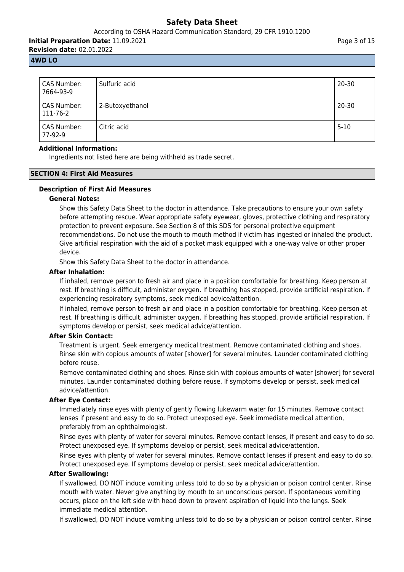## According to OSHA Hazard Communication Standard, 29 CFR 1910.1200

**Initial Preparation Date:** 11.09.2021 **Revision date:** 02.01.2022

Page 3 of 15

#### **4WD LO**

| CAS Number:<br>7664-93-9 | Sulfuric acid   | $20 - 30$ |
|--------------------------|-----------------|-----------|
| CAS Number:<br>111-76-2  | 2-Butoxyethanol | $20 - 30$ |
| CAS Number:<br>77-92-9   | Citric acid     | $5 - 10$  |

#### **Additional Information:**

Ingredients not listed here are being withheld as trade secret.

#### **SECTION 4: First Aid Measures**

# **Description of First Aid Measures**

#### **General Notes:**

Show this Safety Data Sheet to the doctor in attendance. Take precautions to ensure your own safety before attempting rescue. Wear appropriate safety eyewear, gloves, protective clothing and respiratory protection to prevent exposure. See Section 8 of this SDS for personal protective equipment recommendations. Do not use the mouth to mouth method if victim has ingested or inhaled the product. Give artificial respiration with the aid of a pocket mask equipped with a one-way valve or other proper device.

Show this Safety Data Sheet to the doctor in attendance.

#### **After Inhalation:**

If inhaled, remove person to fresh air and place in a position comfortable for breathing. Keep person at rest. If breathing is difficult, administer oxygen. If breathing has stopped, provide artificial respiration. If experiencing respiratory symptoms, seek medical advice/attention.

If inhaled, remove person to fresh air and place in a position comfortable for breathing. Keep person at rest. If breathing is difficult, administer oxygen. If breathing has stopped, provide artificial respiration. If symptoms develop or persist, seek medical advice/attention.

#### **After Skin Contact:**

Treatment is urgent. Seek emergency medical treatment. Remove contaminated clothing and shoes. Rinse skin with copious amounts of water [shower] for several minutes. Launder contaminated clothing before reuse.

Remove contaminated clothing and shoes. Rinse skin with copious amounts of water [shower] for several minutes. Launder contaminated clothing before reuse. If symptoms develop or persist, seek medical advice/attention.

## **After Eye Contact:**

Immediately rinse eyes with plenty of gently flowing lukewarm water for 15 minutes. Remove contact lenses if present and easy to do so. Protect unexposed eye. Seek immediate medical attention, preferably from an ophthalmologist.

Rinse eyes with plenty of water for several minutes. Remove contact lenses, if present and easy to do so. Protect unexposed eye. If symptoms develop or persist, seek medical advice/attention.

Rinse eyes with plenty of water for several minutes. Remove contact lenses if present and easy to do so. Protect unexposed eye. If symptoms develop or persist, seek medical advice/attention.

## **After Swallowing:**

If swallowed, DO NOT induce vomiting unless told to do so by a physician or poison control center. Rinse mouth with water. Never give anything by mouth to an unconscious person. If spontaneous vomiting occurs, place on the left side with head down to prevent aspiration of liquid into the lungs. Seek immediate medical attention.

If swallowed, DO NOT induce vomiting unless told to do so by a physician or poison control center. Rinse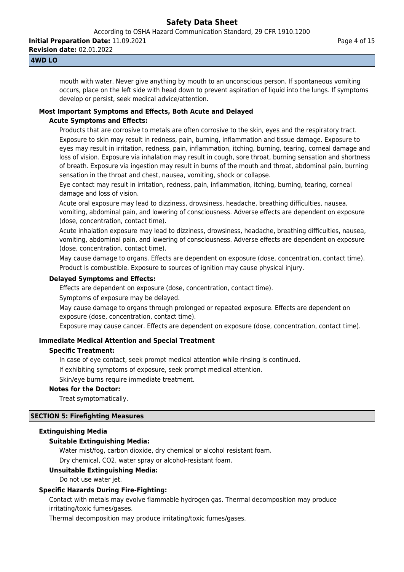**Initial Preparation Date:** 11.09.2021

**Revision date:** 02.01.2022

## **4WD LO**

mouth with water. Never give anything by mouth to an unconscious person. If spontaneous vomiting occurs, place on the left side with head down to prevent aspiration of liquid into the lungs. If symptoms develop or persist, seek medical advice/attention.

# **Most Important Symptoms and Effects, Both Acute and Delayed**

## **Acute Symptoms and Effects:**

Products that are corrosive to metals are often corrosive to the skin, eyes and the respiratory tract. Exposure to skin may result in redness, pain, burning, inflammation and tissue damage. Exposure to eyes may result in irritation, redness, pain, inflammation, itching, burning, tearing, corneal damage and loss of vision. Exposure via inhalation may result in cough, sore throat, burning sensation and shortness of breath. Exposure via ingestion may result in burns of the mouth and throat, abdominal pain, burning sensation in the throat and chest, nausea, vomiting, shock or collapse.

Eye contact may result in irritation, redness, pain, inflammation, itching, burning, tearing, corneal damage and loss of vision.

Acute oral exposure may lead to dizziness, drowsiness, headache, breathing difficulties, nausea, vomiting, abdominal pain, and lowering of consciousness. Adverse effects are dependent on exposure (dose, concentration, contact time).

Acute inhalation exposure may lead to dizziness, drowsiness, headache, breathing difficulties, nausea, vomiting, abdominal pain, and lowering of consciousness. Adverse effects are dependent on exposure (dose, concentration, contact time).

May cause damage to organs. Effects are dependent on exposure (dose, concentration, contact time). Product is combustible. Exposure to sources of ignition may cause physical injury.

## **Delayed Symptoms and Effects:**

Effects are dependent on exposure (dose, concentration, contact time).

Symptoms of exposure may be delayed.

May cause damage to organs through prolonged or repeated exposure. Effects are dependent on exposure (dose, concentration, contact time).

Exposure may cause cancer. Effects are dependent on exposure (dose, concentration, contact time).

# **Immediate Medical Attention and Special Treatment**

## **Specific Treatment:**

In case of eye contact, seek prompt medical attention while rinsing is continued.

If exhibiting symptoms of exposure, seek prompt medical attention.

Skin/eye burns require immediate treatment.

## **Notes for the Doctor:**

Treat symptomatically.

## **SECTION 5: Firefighting Measures**

## **Extinguishing Media**

## **Suitable Extinguishing Media:**

Water mist/fog, carbon dioxide, dry chemical or alcohol resistant foam.

Dry chemical, CO2, water spray or alcohol-resistant foam.

## **Unsuitable Extinguishing Media:**

Do not use water jet.

## **Specific Hazards During Fire-Fighting:**

Contact with metals may evolve flammable hydrogen gas. Thermal decomposition may produce irritating/toxic fumes/gases.

Thermal decomposition may produce irritating/toxic fumes/gases.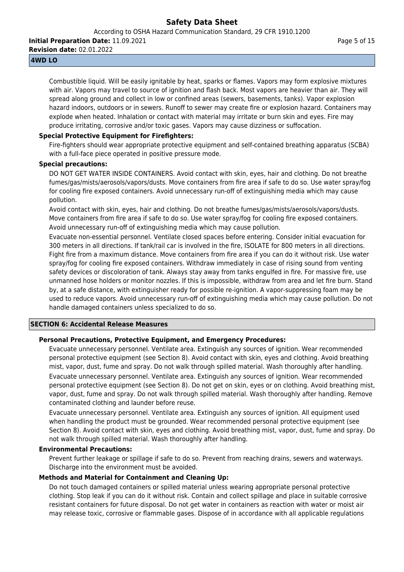According to OSHA Hazard Communication Standard, 29 CFR 1910.1200

**Initial Preparation Date:** 11.09.2021

**Revision date:** 02.01.2022

## **4WD LO**

Combustible liquid. Will be easily ignitable by heat, sparks or flames. Vapors may form explosive mixtures with air. Vapors may travel to source of ignition and flash back. Most vapors are heavier than air. They will spread along ground and collect in low or confined areas (sewers, basements, tanks). Vapor explosion hazard indoors, outdoors or in sewers. Runoff to sewer may create fire or explosion hazard. Containers may explode when heated. Inhalation or contact with material may irritate or burn skin and eyes. Fire may produce irritating, corrosive and/or toxic gases. Vapors may cause dizziness or suffocation.

## **Special Protective Equipment for Firefighters:**

Fire-fighters should wear appropriate protective equipment and self-contained breathing apparatus (SCBA) with a full-face piece operated in positive pressure mode.

## **Special precautions:**

DO NOT GET WATER INSIDE CONTAINERS. Avoid contact with skin, eyes, hair and clothing. Do not breathe fumes/gas/mists/aerosols/vapors/dusts. Move containers from fire area if safe to do so. Use water spray/fog for cooling fire exposed containers. Avoid unnecessary run-off of extinguishing media which may cause pollution.

Avoid contact with skin, eyes, hair and clothing. Do not breathe fumes/gas/mists/aerosols/vapors/dusts. Move containers from fire area if safe to do so. Use water spray/fog for cooling fire exposed containers. Avoid unnecessary run-off of extinguishing media which may cause pollution.

Evacuate non-essential personnel. Ventilate closed spaces before entering. Consider initial evacuation for 300 meters in all directions. If tank/rail car is involved in the fire, ISOLATE for 800 meters in all directions. Fight fire from a maximum distance. Move containers from fire area if you can do it without risk. Use water spray/fog for cooling fire exposed containers. Withdraw immediately in case of rising sound from venting safety devices or discoloration of tank. Always stay away from tanks engulfed in fire. For massive fire, use unmanned hose holders or monitor nozzles. If this is impossible, withdraw from area and let fire burn. Stand by, at a safe distance, with extinguisher ready for possible re-ignition. A vapor-suppressing foam may be used to reduce vapors. Avoid unnecessary run-off of extinguishing media which may cause pollution. Do not handle damaged containers unless specialized to do so.

## **SECTION 6: Accidental Release Measures**

# **Personal Precautions, Protective Equipment, and Emergency Procedures:**

Evacuate unnecessary personnel. Ventilate area. Extinguish any sources of ignition. Wear recommended personal protective equipment (see Section 8). Avoid contact with skin, eyes and clothing. Avoid breathing mist, vapor, dust, fume and spray. Do not walk through spilled material. Wash thoroughly after handling.

Evacuate unnecessary personnel. Ventilate area. Extinguish any sources of ignition. Wear recommended personal protective equipment (see Section 8). Do not get on skin, eyes or on clothing. Avoid breathing mist, vapor, dust, fume and spray. Do not walk through spilled material. Wash thoroughly after handling. Remove contaminated clothing and launder before reuse.

Evacuate unnecessary personnel. Ventilate area. Extinguish any sources of ignition. All equipment used when handling the product must be grounded. Wear recommended personal protective equipment (see Section 8). Avoid contact with skin, eyes and clothing. Avoid breathing mist, vapor, dust, fume and spray. Do not walk through spilled material. Wash thoroughly after handling.

## **Environmental Precautions:**

Prevent further leakage or spillage if safe to do so. Prevent from reaching drains, sewers and waterways. Discharge into the environment must be avoided.

## **Methods and Material for Containment and Cleaning Up:**

Do not touch damaged containers or spilled material unless wearing appropriate personal protective clothing. Stop leak if you can do it without risk. Contain and collect spillage and place in suitable corrosive resistant containers for future disposal. Do not get water in containers as reaction with water or moist air may release toxic, corrosive or flammable gases. Dispose of in accordance with all applicable regulations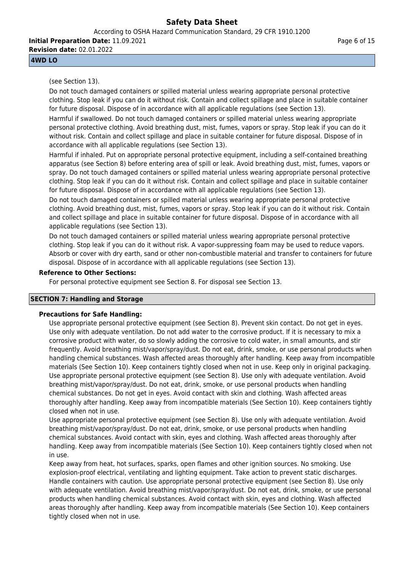**Initial Preparation Date:** 11.09.2021 **Revision date:** 02.01.2022

## **4WD LO**

(see Section 13).

Do not touch damaged containers or spilled material unless wearing appropriate personal protective clothing. Stop leak if you can do it without risk. Contain and collect spillage and place in suitable container for future disposal. Dispose of in accordance with all applicable regulations (see Section 13).

Harmful if swallowed. Do not touch damaged containers or spilled material unless wearing appropriate personal protective clothing. Avoid breathing dust, mist, fumes, vapors or spray. Stop leak if you can do it without risk. Contain and collect spillage and place in suitable container for future disposal. Dispose of in accordance with all applicable regulations (see Section 13).

Harmful if inhaled. Put on appropriate personal protective equipment, including a self-contained breathing apparatus (see Section 8) before entering area of spill or leak. Avoid breathing dust, mist, fumes, vapors or spray. Do not touch damaged containers or spilled material unless wearing appropriate personal protective clothing. Stop leak if you can do it without risk. Contain and collect spillage and place in suitable container for future disposal. Dispose of in accordance with all applicable regulations (see Section 13).

Do not touch damaged containers or spilled material unless wearing appropriate personal protective clothing. Avoid breathing dust, mist, fumes, vapors or spray. Stop leak if you can do it without risk. Contain and collect spillage and place in suitable container for future disposal. Dispose of in accordance with all applicable regulations (see Section 13).

Do not touch damaged containers or spilled material unless wearing appropriate personal protective clothing. Stop leak if you can do it without risk. A vapor-suppressing foam may be used to reduce vapors. Absorb or cover with dry earth, sand or other non-combustible material and transfer to containers for future disposal. Dispose of in accordance with all applicable regulations (see Section 13).

## **Reference to Other Sections:**

For personal protective equipment see Section 8. For disposal see Section 13.

# **SECTION 7: Handling and Storage**

## **Precautions for Safe Handling:**

Use appropriate personal protective equipment (see Section 8). Prevent skin contact. Do not get in eyes. Use only with adequate ventilation. Do not add water to the corrosive product. If it is necessary to mix a corrosive product with water, do so slowly adding the corrosive to cold water, in small amounts, and stir frequently. Avoid breathing mist/vapor/spray/dust. Do not eat, drink, smoke, or use personal products when handling chemical substances. Wash affected areas thoroughly after handling. Keep away from incompatible materials (See Section 10). Keep containers tightly closed when not in use. Keep only in original packaging. Use appropriate personal protective equipment (see Section 8). Use only with adequate ventilation. Avoid breathing mist/vapor/spray/dust. Do not eat, drink, smoke, or use personal products when handling chemical substances. Do not get in eyes. Avoid contact with skin and clothing. Wash affected areas thoroughly after handling. Keep away from incompatible materials (See Section 10). Keep containers tightly closed when not in use.

Use appropriate personal protective equipment (see Section 8). Use only with adequate ventilation. Avoid breathing mist/vapor/spray/dust. Do not eat, drink, smoke, or use personal products when handling chemical substances. Avoid contact with skin, eyes and clothing. Wash affected areas thoroughly after handling. Keep away from incompatible materials (See Section 10). Keep containers tightly closed when not in use.

Keep away from heat, hot surfaces, sparks, open flames and other ignition sources. No smoking. Use explosion-proof electrical, ventilating and lighting equipment. Take action to prevent static discharges. Handle containers with caution. Use appropriate personal protective equipment (see Section 8). Use only with adequate ventilation. Avoid breathing mist/vapor/spray/dust. Do not eat, drink, smoke, or use personal products when handling chemical substances. Avoid contact with skin, eyes and clothing. Wash affected areas thoroughly after handling. Keep away from incompatible materials (See Section 10). Keep containers tightly closed when not in use.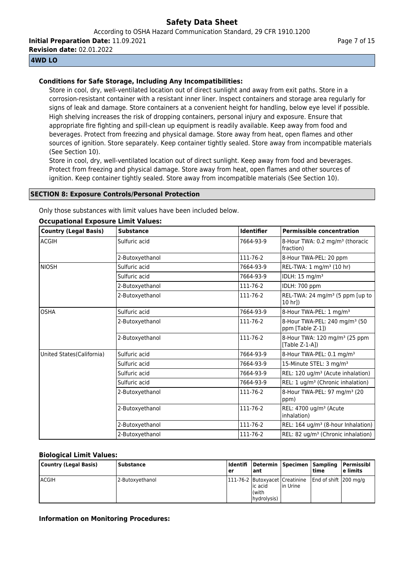**Initial Preparation Date:** 11.09.2021

**Revision date:** 02.01.2022

## **4WD LO**

## **Conditions for Safe Storage, Including Any Incompatibilities:**

Store in cool, dry, well-ventilated location out of direct sunlight and away from exit paths. Store in a corrosion-resistant container with a resistant inner liner. Inspect containers and storage area regularly for signs of leak and damage. Store containers at a convenient height for handling, below eye level if possible. High shelving increases the risk of dropping containers, personal injury and exposure. Ensure that appropriate fire fighting and spill-clean up equipment is readily available. Keep away from food and beverages. Protect from freezing and physical damage. Store away from heat, open flames and other sources of ignition. Store separately. Keep container tightly sealed. Store away from incompatible materials (See Section 10).

Store in cool, dry, well-ventilated location out of direct sunlight. Keep away from food and beverages. Protect from freezing and physical damage. Store away from heat, open flames and other sources of ignition. Keep container tightly sealed. Store away from incompatible materials (See Section 10).

#### **SECTION 8: Exposure Controls/Personal Protection**

Only those substances with limit values have been included below.

| <b>Country (Legal Basis)</b> | <b>Substance</b> | <b>Identifier</b> | <b>Permissible concentration</b>                               |
|------------------------------|------------------|-------------------|----------------------------------------------------------------|
| ACGIH                        | Sulfuric acid    | 7664-93-9         | 8-Hour TWA: 0.2 mg/m <sup>3</sup> (thoracic<br>(fraction)      |
|                              | 2-Butoxyethanol  | 111-76-2          | 8-Hour TWA-PEL: 20 ppm                                         |
| <b>NIOSH</b>                 | Sulfuric acid    | 7664-93-9         | REL-TWA: 1 mg/m <sup>3</sup> (10 hr)                           |
|                              | Sulfuric acid    | 7664-93-9         | IDLH: 15 mg/m <sup>3</sup>                                     |
|                              | 2-Butoxyethanol  | 111-76-2          | IDLH: 700 ppm                                                  |
|                              | 2-Butoxyethanol  | 111-76-2          | REL-TWA: 24 mg/m <sup>3</sup> (5 ppm [up to<br>10 hrl)         |
| <b>OSHA</b>                  | Sulfuric acid    | 7664-93-9         | 8-Hour TWA-PEL: 1 mg/m <sup>3</sup>                            |
|                              | 2-Butoxyethanol  | 111-76-2          | 8-Hour TWA-PEL: 240 mg/m <sup>3</sup> (50<br>ppm [Table Z-1])  |
|                              | 2-Butoxyethanol  | 111-76-2          | 8-Hour TWA: 120 mg/m <sup>3</sup> (25 ppm<br>[Table $Z-1-A$ ]) |
| United States(California)    | Sulfuric acid    | 7664-93-9         | 8-Hour TWA-PEL: 0.1 mg/m <sup>3</sup>                          |
|                              | Sulfuric acid    | 7664-93-9         | 15-Minute STEL: 3 mg/m <sup>3</sup>                            |
|                              | Sulfuric acid    | 7664-93-9         | REL: 120 ug/m <sup>3</sup> (Acute inhalation)                  |
|                              | Sulfuric acid    | 7664-93-9         | REL: 1 ug/m <sup>3</sup> (Chronic inhalation)                  |
|                              | 2-Butoxyethanol  | 111-76-2          | 8-Hour TWA-PEL: 97 mg/m <sup>3</sup> (20<br>ppm)               |
|                              | 2-Butoxyethanol  | 111-76-2          | REL: 4700 ug/m <sup>3</sup> (Acute<br>inhalation)              |
|                              | 2-Butoxyethanol  | 111-76-2          | REL: 164 ug/m <sup>3</sup> (8-hour Inhalation)                 |
|                              | 2-Butoxyethanol  | 111-76-2          | REL: 82 ug/m <sup>3</sup> (Chronic inhalation)                 |

#### **Occupational Exposure Limit Values:**

#### **Biological Limit Values:**

| Country (Legal Basis) | <b>Substance</b> | ler | l ant                               | Identifi   Determin   Specimen   Sampling        | time                   | l Permissibl<br>l e limits |
|-----------------------|------------------|-----|-------------------------------------|--------------------------------------------------|------------------------|----------------------------|
| <b>ACGIH</b>          | 2-Butoxyethanol  |     | lic acid<br>l (with<br>(hydrolysis) | [111-76-2   Butoxyacet   Creatinine<br>lin Urine | End of shift 1200 mg/g |                            |

## **Information on Monitoring Procedures:**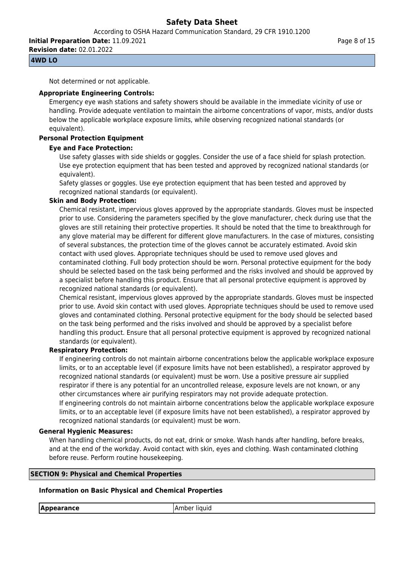**Initial Preparation Date:** 11.09.2021

**Revision date:** 02.01.2022

## **4WD LO**

Not determined or not applicable.

## **Appropriate Engineering Controls:**

Emergency eye wash stations and safety showers should be available in the immediate vicinity of use or handling. Provide adequate ventilation to maintain the airborne concentrations of vapor, mists, and/or dusts below the applicable workplace exposure limits, while observing recognized national standards (or equivalent).

# **Personal Protection Equipment**

## **Eye and Face Protection:**

Use safety glasses with side shields or goggles. Consider the use of a face shield for splash protection. Use eye protection equipment that has been tested and approved by recognized national standards (or equivalent).

Safety glasses or goggles. Use eye protection equipment that has been tested and approved by recognized national standards (or equivalent).

## **Skin and Body Protection:**

Chemical resistant, impervious gloves approved by the appropriate standards. Gloves must be inspected prior to use. Considering the parameters specified by the glove manufacturer, check during use that the gloves are still retaining their protective properties. It should be noted that the time to breakthrough for any glove material may be different for different glove manufacturers. In the case of mixtures, consisting of several substances, the protection time of the gloves cannot be accurately estimated. Avoid skin contact with used gloves. Appropriate techniques should be used to remove used gloves and contaminated clothing. Full body protection should be worn. Personal protective equipment for the body should be selected based on the task being performed and the risks involved and should be approved by a specialist before handling this product. Ensure that all personal protective equipment is approved by recognized national standards (or equivalent).

Chemical resistant, impervious gloves approved by the appropriate standards. Gloves must be inspected prior to use. Avoid skin contact with used gloves. Appropriate techniques should be used to remove used gloves and contaminated clothing. Personal protective equipment for the body should be selected based on the task being performed and the risks involved and should be approved by a specialist before handling this product. Ensure that all personal protective equipment is approved by recognized national standards (or equivalent).

## **Respiratory Protection:**

If engineering controls do not maintain airborne concentrations below the applicable workplace exposure limits, or to an acceptable level (if exposure limits have not been established), a respirator approved by recognized national standards (or equivalent) must be worn. Use a positive pressure air supplied respirator if there is any potential for an uncontrolled release, exposure levels are not known, or any other circumstances where air purifying respirators may not provide adequate protection. If engineering controls do not maintain airborne concentrations below the applicable workplace exposure limits, or to an acceptable level (if exposure limits have not been established), a respirator approved by recognized national standards (or equivalent) must be worn.

## **General Hygienic Measures:**

When handling chemical products, do not eat, drink or smoke. Wash hands after handling, before breaks, and at the end of the workday. Avoid contact with skin, eyes and clothing. Wash contaminated clothing before reuse. Perform routine housekeeping.

## **SECTION 9: Physical and Chemical Properties**

# **Information on Basic Physical and Chemical Properties**

**Appearance** Amber liquid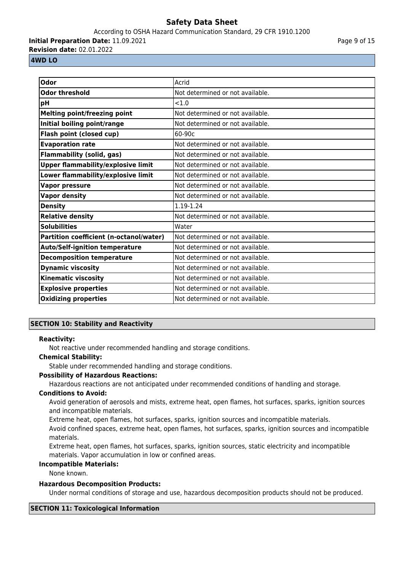#### According to OSHA Hazard Communication Standard, 29 CFR 1910.1200

**Initial Preparation Date:** 11.09.2021

**Revision date:** 02.01.2022

#### Page 9 of 15

#### **4WD LO**

| <b>Odor</b>                               | Acrid                            |
|-------------------------------------------|----------------------------------|
| <b>Odor threshold</b>                     | Not determined or not available. |
| pH                                        | < 1.0                            |
| <b>Melting point/freezing point</b>       | Not determined or not available. |
| Initial boiling point/range               | Not determined or not available. |
| Flash point (closed cup)                  | 60-90c                           |
| <b>Evaporation rate</b>                   | Not determined or not available. |
| <b>Flammability (solid, gas)</b>          | Not determined or not available. |
| <b>Upper flammability/explosive limit</b> | Not determined or not available. |
| Lower flammability/explosive limit        | Not determined or not available. |
| <b>Vapor pressure</b>                     | Not determined or not available. |
| <b>Vapor density</b>                      | Not determined or not available. |
| <b>Density</b>                            | 1.19-1.24                        |
| <b>Relative density</b>                   | Not determined or not available. |
| <b>Solubilities</b>                       | Water                            |
| Partition coefficient (n-octanol/water)   | Not determined or not available. |
| <b>Auto/Self-ignition temperature</b>     | Not determined or not available. |
| <b>Decomposition temperature</b>          | Not determined or not available. |
| <b>Dynamic viscosity</b>                  | Not determined or not available. |
| <b>Kinematic viscosity</b>                | Not determined or not available. |
| <b>Explosive properties</b>               | Not determined or not available. |
| <b>Oxidizing properties</b>               | Not determined or not available. |

# **SECTION 10: Stability and Reactivity**

## **Reactivity:**

Not reactive under recommended handling and storage conditions.

#### **Chemical Stability:**

Stable under recommended handling and storage conditions.

## **Possibility of Hazardous Reactions:**

Hazardous reactions are not anticipated under recommended conditions of handling and storage.

#### **Conditions to Avoid:**

Avoid generation of aerosols and mists, extreme heat, open flames, hot surfaces, sparks, ignition sources and incompatible materials.

Extreme heat, open flames, hot surfaces, sparks, ignition sources and incompatible materials.

Avoid confined spaces, extreme heat, open flames, hot surfaces, sparks, ignition sources and incompatible materials.

Extreme heat, open flames, hot surfaces, sparks, ignition sources, static electricity and incompatible materials. Vapor accumulation in low or confined areas.

#### **Incompatible Materials:**

None known.

#### **Hazardous Decomposition Products:**

Under normal conditions of storage and use, hazardous decomposition products should not be produced.

## **SECTION 11: Toxicological Information**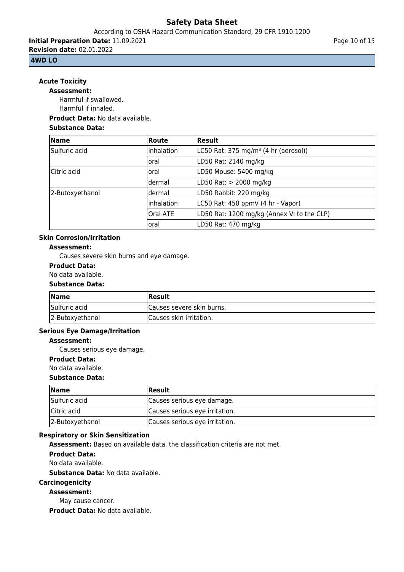According to OSHA Hazard Communication Standard, 29 CFR 1910.1200

**Initial Preparation Date:** 11.09.2021 **Revision date:** 02.01.2022

## **4WD LO**

# **Acute Toxicity**

**Assessment:**

Harmful if swallowed. Harmful if inhaled.

## **Product Data:** No data available.

#### **Substance Data:**

| <b>Name</b>     | <b>Route</b> | <b>Result</b>                                    |
|-----------------|--------------|--------------------------------------------------|
| Sulfuric acid   | inhalation   | LC50 Rat: 375 mg/m <sup>3</sup> (4 hr (aerosol)) |
|                 | loral        | LD50 Rat: 2140 mg/kg                             |
| Citric acid     | loral        | LD50 Mouse: 5400 mg/kg                           |
|                 | ldermal      | LD50 Rat: > 2000 mg/kg                           |
| 2-Butoxyethanol | ldermal      | LD50 Rabbit: 220 mg/kg                           |
|                 | inhalation   | LC50 Rat: 450 ppmV (4 hr - Vapor)                |
|                 | Oral ATE     | LD50 Rat: 1200 mg/kg (Annex VI to the CLP)       |
|                 | loral        | LD50 Rat: 470 mg/kg                              |

# **Skin Corrosion/Irritation**

## **Assessment:**

Causes severe skin burns and eye damage.

## **Product Data:**

No data available.

#### **Substance Data:**

| <b>Name</b>     | Result                     |
|-----------------|----------------------------|
| Sulfuric acid   | ICauses severe skin burns. |
| 2-Butoxyethanol | Causes skin irritation.    |

#### **Serious Eye Damage/Irritation**

#### **Assessment:**

Causes serious eye damage.

#### **Product Data:**

No data available.

#### **Substance Data:**

| <b>Name</b>     | <b>Result</b>                  |
|-----------------|--------------------------------|
| Sulfuric acid   | Causes serious eye damage.     |
| Citric acid     | Causes serious eye irritation. |
| 2-Butoxyethanol | Causes serious eye irritation. |

## **Respiratory or Skin Sensitization**

**Assessment:** Based on available data, the classification criteria are not met.

**Product Data:**

No data available.

**Substance Data:** No data available.

#### **Carcinogenicity**

**Assessment:**

May cause cancer.

**Product Data:** No data available.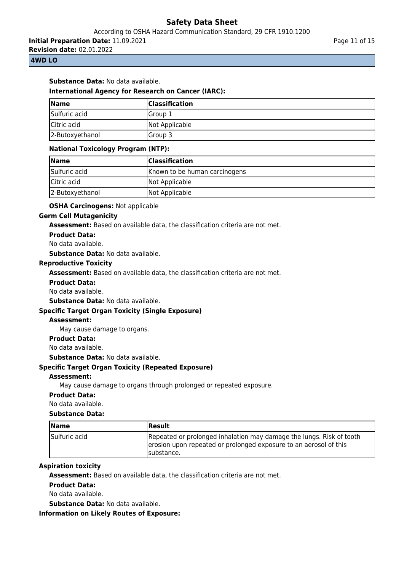**Initial Preparation Date:** 11.09.2021

**Revision date:** 02.01.2022

## **4WD LO**

#### **Substance Data:** No data available.

#### **International Agency for Research on Cancer (IARC):**

| <b>Name</b>     | <b>Classification</b> |
|-----------------|-----------------------|
| Sulfuric acid   | lGroup 1              |
| Citric acid     | Not Applicable        |
| 2-Butoxyethanol | lGroup 3              |

#### **National Toxicology Program (NTP):**

| $\blacksquare$ Name | <b>Classification</b>         |
|---------------------|-------------------------------|
| Sulfuric acid       | Known to be human carcinogens |
| Citric acid         | Not Applicable                |
| 2-Butoxyethanol     | Not Applicable                |

#### **OSHA Carcinogens:** Not applicable

#### **Germ Cell Mutagenicity**

**Assessment:** Based on available data, the classification criteria are not met.

**Product Data:**

No data available.

**Substance Data:** No data available.

## **Reproductive Toxicity**

**Assessment:** Based on available data, the classification criteria are not met.

**Product Data:**

No data available.

**Substance Data:** No data available.

#### **Specific Target Organ Toxicity (Single Exposure)**

#### **Assessment:**

May cause damage to organs.

#### **Product Data:**

No data available.

**Substance Data:** No data available.

## **Specific Target Organ Toxicity (Repeated Exposure)**

#### **Assessment:**

May cause damage to organs through prolonged or repeated exposure.

#### **Product Data:**

No data available.

#### **Substance Data:**

| <b>Name</b>   | <b> Result</b>                                                                                                                                           |
|---------------|----------------------------------------------------------------------------------------------------------------------------------------------------------|
| Sulfuric acid | Repeated or prolonged inhalation may damage the lungs. Risk of tooth<br>erosion upon repeated or prolonged exposure to an aerosol of this<br>Isubstance. |

#### **Aspiration toxicity**

**Assessment:** Based on available data, the classification criteria are not met.

#### **Product Data:**

No data available.

**Substance Data:** No data available.

**Information on Likely Routes of Exposure:**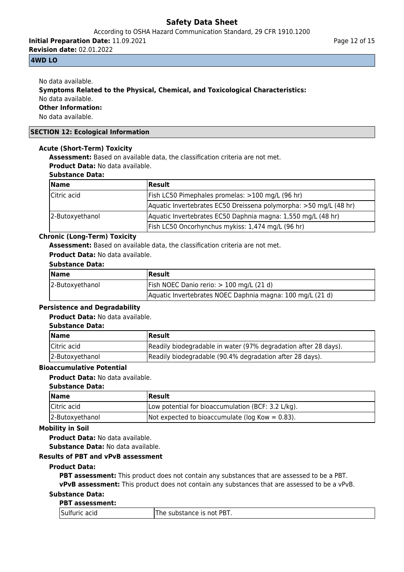According to OSHA Hazard Communication Standard, 29 CFR 1910.1200

**Initial Preparation Date:** 11.09.2021 **Revision date:** 02.01.2022

## **4WD LO**

No data available. **Symptoms Related to the Physical, Chemical, and Toxicological Characteristics:** No data available. **Other Information:** No data available.

## **SECTION 12: Ecological Information**

#### **Acute (Short-Term) Toxicity**

**Assessment:** Based on available data, the classification criteria are not met.

**Product Data:** No data available.

# **Substance Data:**

| <b>Name</b>     | <b>Result</b>                                                     |
|-----------------|-------------------------------------------------------------------|
| Citric acid     | Fish LC50 Pimephales promelas: >100 mg/L (96 hr)                  |
|                 | Aquatic Invertebrates EC50 Dreissena polymorpha: >50 mg/L (48 hr) |
| 2-Butoxyethanol | Aquatic Invertebrates EC50 Daphnia magna: 1,550 mg/L (48 hr)      |
|                 | Fish LC50 Oncorhynchus mykiss: 1,474 mg/L (96 hr)                 |

## **Chronic (Long-Term) Toxicity**

**Assessment:** Based on available data, the classification criteria are not met.

**Product Data:** No data available.

#### **Substance Data:**

| <b>Name</b>     | Result                                                    |
|-----------------|-----------------------------------------------------------|
| 2-Butoxyethanol | Fish NOEC Danio rerio: > 100 mg/L (21 d)                  |
|                 | Aquatic Invertebrates NOEC Daphnia magna: 100 mg/L (21 d) |

#### **Persistence and Degradability**

#### **Product Data:** No data available.

#### **Substance Data:**

| <b>Name</b>     | Result                                                          |
|-----------------|-----------------------------------------------------------------|
| lCitric acid    | Readily biodegradable in water (97% degradation after 28 days). |
| 2-Butoxyethanol | Readily biodegradable (90.4% degradation after 28 days).        |

#### **Bioaccumulative Potential**

#### **Product Data:** No data available.

#### **Substance Data:**

| <b>Name</b>     | Result                                              |
|-----------------|-----------------------------------------------------|
| Citric acid     | Low potential for bioaccumulation (BCF: 3.2 L/kg).  |
| 2-Butoxyethanol | Not expected to bioaccumulate ( $log Kow = 0.83$ ). |

## **Mobility in Soil**

**Product Data:** No data available.

**Substance Data:** No data available.

## **Results of PBT and vPvB assessment**

#### **Product Data:**

**PBT assessment:** This product does not contain any substances that are assessed to be a PBT. **vPvB assessment:** This product does not contain any substances that are assessed to be a vPvB.

# **Substance Data:**

## **PBT assessment:**

| Sulfuric<br>acid<br>___ | PBT.<br>substance is not l<br>he |
|-------------------------|----------------------------------|
|-------------------------|----------------------------------|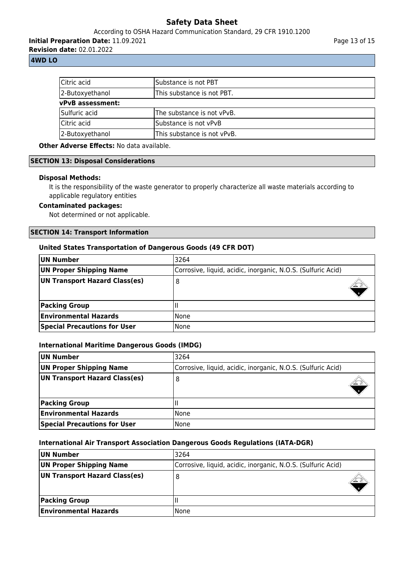According to OSHA Hazard Communication Standard, 29 CFR 1910.1200

**Initial Preparation Date:** 11.09.2021

**Revision date:** 02.01.2022

## **4WD LO**

| Citric acid             | lSubstance is not PBT       |
|-------------------------|-----------------------------|
| 2-Butoxyethanol         | This substance is not PBT.  |
| <b>vPvB</b> assessment: |                             |
| Sulfuric acid           | The substance is not vPvB.  |
| Citric acid             | Substance is not vPvB       |
| 2-Butoxyethanol         | This substance is not vPvB. |

# **Other Adverse Effects:** No data available.

#### **SECTION 13: Disposal Considerations**

#### **Disposal Methods:**

It is the responsibility of the waste generator to properly characterize all waste materials according to applicable regulatory entities

## **Contaminated packages:**

Not determined or not applicable.

#### **SECTION 14: Transport Information**

#### **United States Transportation of Dangerous Goods (49 CFR DOT)**

| UN Number                           | 3264                                                         |  |
|-------------------------------------|--------------------------------------------------------------|--|
| <b>UN Proper Shipping Name</b>      | Corrosive, liquid, acidic, inorganic, N.O.S. (Sulfuric Acid) |  |
| UN Transport Hazard Class(es)       | 8                                                            |  |
| <b>Packing Group</b>                |                                                              |  |
| <b>Environmental Hazards</b>        | l None                                                       |  |
| <b>Special Precautions for User</b> | None                                                         |  |

#### **International Maritime Dangerous Goods (IMDG)**

| UN Number                           | 3264                                                         |
|-------------------------------------|--------------------------------------------------------------|
| UN Proper Shipping Name             | Corrosive, liquid, acidic, inorganic, N.O.S. (Sulfuric Acid) |
| UN Transport Hazard Class(es)       | 8                                                            |
| <b>Packing Group</b>                |                                                              |
| <b>Environmental Hazards</b>        | <b>None</b>                                                  |
| <b>Special Precautions for User</b> | <b>None</b>                                                  |

#### **International Air Transport Association Dangerous Goods Regulations (IATA-DGR)**

| UN Number                     | 3264                                                         |  |
|-------------------------------|--------------------------------------------------------------|--|
| UN Proper Shipping Name       | Corrosive, liquid, acidic, inorganic, N.O.S. (Sulfuric Acid) |  |
| UN Transport Hazard Class(es) |                                                              |  |
| <b>Packing Group</b>          |                                                              |  |
| <b>Environmental Hazards</b>  | <b>None</b>                                                  |  |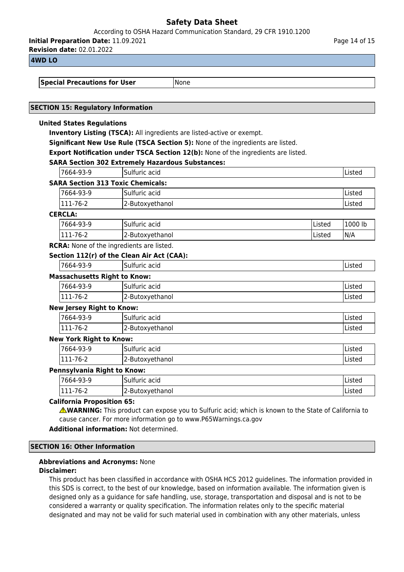According to OSHA Hazard Communication Standard, 29 CFR 1910.1200

**Initial Preparation Date:** 11.09.2021

**Revision date:** 02.01.2022

## **4WD LO**

**Special Precautions for User** Mone

## **SECTION 15: Regulatory Information**

#### **United States Regulations**

**Inventory Listing (TSCA):** All ingredients are listed-active or exempt.

**Significant New Use Rule (TSCA Section 5):** None of the ingredients are listed.

**Export Notification under TSCA Section 12(b):** None of the ingredients are listed.

# **SARA Section 302 Extremely Hazardous Substances:**

|                                          | SARA Section 302 Extremely Hazardous Substances: |        |         |
|------------------------------------------|--------------------------------------------------|--------|---------|
| 7664-93-9                                | lSulfuric acid                                   |        | lListed |
| <b>SARA Section 313 Toxic Chemicals:</b> |                                                  |        |         |
| 7664-93-9                                | lSulfuric acid                                   |        | Listed  |
| 111-76-2                                 | 2-Butoxyethanol                                  |        | Listed  |
| <b>CERCLA:</b>                           |                                                  |        |         |
| 7664-93-9                                | Sulfuric acid                                    | Listed | 1000 lb |

| '7664-93-9        | Sulfuric acid   | <b>Listed</b> | 1000 lb |
|-------------------|-----------------|---------------|---------|
| -76-2<br>$111 -$  | 2-Butoxyethanol | <b>Listed</b> | IN/A    |
| -- - - -<br>- - - | .<br>____       |               |         |

**RCRA:** None of the ingredients are listed.

#### **Section 112(r) of the Clean Air Act (CAA):**

|                                     | 7664-93-9 | Sulfuric acid | Listed |  |
|-------------------------------------|-----------|---------------|--------|--|
| <b>Massachusetts Right to Know:</b> |           |               |        |  |
|                                     | 7664-93-9 | Sulfuric acid | Listed |  |

| 111-76-2 | 2-Butoxyethanol | 'LISLEG |  |
|----------|-----------------|---------|--|
|          |                 |         |  |

#### **New Jersey Right to Know:**

| 7664-93-9      | $\sim$<br>ISulfuric acid | Listed |
|----------------|--------------------------|--------|
| 111-76-2       | 2-Butoxyethanol          | Listed |
| __ _ _ _ _ _ _ |                          |        |

## **New York Right to Know:**

| 7664-93-9 | $\overline{\phantom{a}}$<br>∽<br>acid<br>Sulfuric | .<br><b>IListec</b> |
|-----------|---------------------------------------------------|---------------------|
| 111-76-2  | I2-Butoxyethanol                                  | . .<br>IListed      |

## **Pennsylvania Right to Know:**

| '664-93-9     | ٠Γ<br>acid<br>$\cdots$<br>$\cdot$<br>isuifuric | .<br>'LISLEL |
|---------------|------------------------------------------------|--------------|
| 76-∠<br>111-7 | r<br>'2-Butoxyethanol                          | Listed       |

## **California Proposition 65:**

**WARNING:** This product can expose you to Sulfuric acid; which is known to the State of California to cause cancer. For more information go to www.P65Warnings.ca.gov

**Additional information:** Not determined.

#### **SECTION 16: Other Information**

#### **Abbreviations and Acronyms:** None **Disclaimer:**

This product has been classified in accordance with OSHA HCS 2012 guidelines. The information provided in this SDS is correct, to the best of our knowledge, based on information available. The information given is designed only as a guidance for safe handling, use, storage, transportation and disposal and is not to be considered a warranty or quality specification. The information relates only to the specific material designated and may not be valid for such material used in combination with any other materials, unless